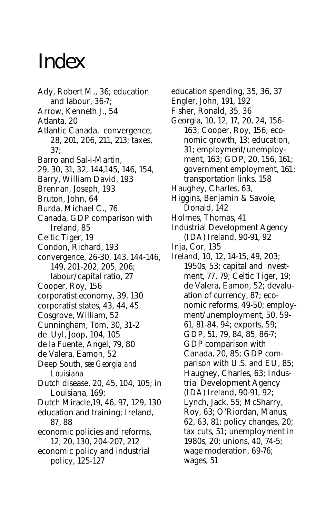## Index

- Ady, Robert M., 36; education and labour, 36-7; Arrow, Kenneth J., 54 Atlanta, 20 Atlantic Canada, convergence, 28, 201, 206, 211, 213; taxes, 37; Barro and Sal-i-Martin, 29, 30, 31, 32, 144,145, 146, 154, Barry, William David, 193 Brennan, Joseph, 193 Bruton, John, 64 Burda, Michael C., 76 Canada, GDP comparison with Ireland, 85 Celtic Tiger, 19 Condon, Richard, 193 convergence, 26-30, 143, 144-146, 149, 201-202, 205, 206; labour/capital ratio, 27 Cooper, Roy, 156 corporatist economy, 39, 130 corporatist states, 43, 44, 45 Cosgrove, William, 52 Cunningham, Tom, 30, 31-2 de Uyl, Joop, 104, 105 de la Fuente, Angel, 79, 80 de Valera, Eamon, 52 Deep South, *see Georgia and Louisiana* Dutch disease, 20, 45, 104, 105; in Louisiana, 169; Dutch Miracle,19, 46, 97, 129, 130 education and training; Ireland, 87, 88
- economic policies and reforms, 12, 20, 130, 204-207, 212
- economic policy and industrial policy, 125-127
- education spending, 35, 36, 37
- Engler, John, 191, 192
- Fisher, Ronald, 35, 36
- Georgia, 10, 12, 17, 20, 24, 156- 163; Cooper, Roy, 156; economic growth, 13; education, 31; employment/unemployment, 163; GDP, 20, 156, 161; government employment, 161; transportation links, 158
- Haughey, Charles, 63,
- Higgins, Benjamin & Savoie, Donald, 142
- Holmes, Thomas, 41
- Industrial Development Agency (IDA) Ireland, 90-91, 92
- Inja, Cor, 135
- Ireland, 10, 12, 14-15, 49, 203; 1950s, 53; capital and investment, 77, 79; Celtic Tiger, 19; de Valera, Eamon, 52; devaluation of currency, 87; economic reforms, 49-50; employment/unemployment, 50, 59- 61, 81-84, 94; exports, 59; GDP, 51, 79, 84, 85, 86-7; GDP comparison with Canada, 20, 85; GDP comparison with U.S. and EU, 85; Haughey, Charles, 63; Industrial Development Agency (IDA) Ireland, 90-91, 92; Lynch, Jack, 55; McSharry, Roy, 63; O'Riordan, Manus, 62, 63, 81; policy changes, 20; tax cuts, 51; unemployment in 1980s, 20; unions, 40, 74-5; wage moderation, 69-76; wages, 51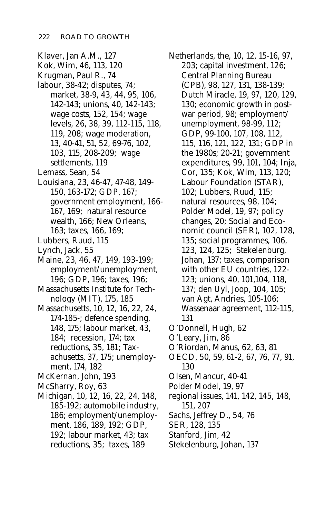- Klaver, Jan A.M., 127
- Kok, Wim, 46, 113, 120
- Krugman, Paul R., 74
- labour, 38-42; disputes, 74;
	- market, 38-9, 43, 44, 95, 106, 142-143; unions, 40, 142-143; wage costs, 152, 154; wage levels, 26, 38, 39, 112-115, 118, 119, 208; wage moderation, 13, 40-41, 51, 52, 69-76, 102, 103, 115, 208-209; wage settlements, 119
- Lemass, Sean, 54
- Louisiana, 23, 46-47, 47-48, 149- 150, 163-172; GDP, 167; government employment, 166- 167, 169; natural resource wealth, 166; New Orleans, 163; taxes, 166, 169;
- Lubbers, Ruud, 115
- Lynch, Jack, 55
- Maine, 23, 46, 47, 149, 193-199; employment/unemployment, 196; GDP, 196; taxes, 196;
- Massachusetts Institute for Technology (MIT), 175, 185
- Massachusetts, 10, 12, 16, 22, 24, 174-185-; defence spending, 148, 175; labour market, 43, 184; recession, 174; tax reductions, 35, 181; Taxachusetts, 37, 175; unemployment, 174, 182
- McKernan, John, 193
- McSharry, Roy, 63
- Michigan, 10, 12, 16, 22, 24, 148, 185-192; automobile industry, 186; employment/unemployment, 186, 189, 192; GDP, 192; labour market, 43; tax reductions, 35; taxes, 189

Netherlands, the, 10, 12, 15-16, 97, 203; capital investment, 126; Central Planning Bureau (CPB), 98, 127, 131, 138-139; Dutch Miracle, 19, 97, 120, 129, 130; economic growth in postwar period, 98; employment/ unemployment, 98-99, 112; GDP, 99-100, 107, 108, 112, 115, 116, 121, 122, 131; GDP in the 1980s; 20-21; government expenditures, 99, 101, 104; Inja, Cor, 135; Kok, Wim, 113, 120; Labour Foundation (STAR), 102; Lubbers, Ruud, 115; natural resources, 98, 104; Polder Model, 19, 97; policy changes, 20; Social and Economic council (SER), 102, 128, 135; social programmes, 106, 123, 124, 125; Stekelenburg, Johan, 137; taxes, comparison with other EU countries, 122- 123; unions, 40, 101,104, 118, 137; den Uyl, Joop, 104, 105; van Agt, Andries, 105-106; Wassenaar agreement, 112-115, 131 O'Donnell, Hugh, 62 O'Leary, Jim, 86

- O'Riordan, Manus, 62, 63, 81
- OECD, 50, 59, 61-2, 67, 76, 77, 91, 130
- Olsen, Mancur, 40-41
- Polder Model, 19, 97
- regional issues, 141, 142, 145, 148, 151, 207
- Sachs, Jeffrey D., 54, 76
- SER, 128, 135
- Stanford, Jim, 42
- Stekelenburg, Johan, 137